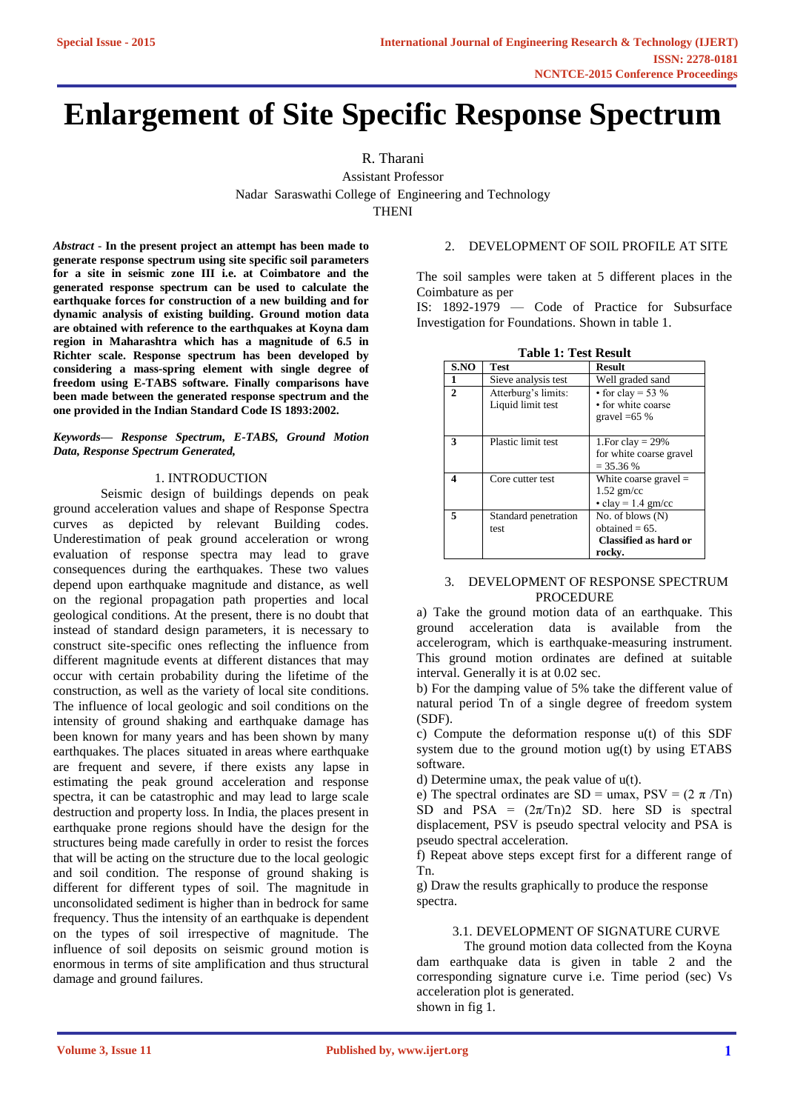# **Enlargement of Site Specific Response Spectrum**

R. Tharani

Assistant Professor Nadar Saraswathi College of Engineering and Technology **THENI** 

*Abstract -* **In the present project an attempt has been made to generate response spectrum using site specific soil parameters for a site in seismic zone III i.e. at Coimbatore and the generated response spectrum can be used to calculate the earthquake forces for construction of a new building and for dynamic analysis of existing building. Ground motion data are obtained with reference to the earthquakes at Koyna dam region in Maharashtra which has a magnitude of 6.5 in Richter scale. Response spectrum has been developed by considering a mass-spring element with single degree of freedom using E-TABS software. Finally comparisons have been made between the generated response spectrum and the one provided in the Indian Standard Code IS 1893:2002.**

#### *Keywords— Response Spectrum, E-TABS, Ground Motion Data, Response Spectrum Generated,*

# 1. INTRODUCTION

Seismic design of buildings depends on peak ground acceleration values and shape of Response Spectra curves as depicted by relevant Building codes. Underestimation of peak ground acceleration or wrong evaluation of response spectra may lead to grave consequences during the earthquakes. These two values depend upon earthquake magnitude and distance, as well on the regional propagation path properties and local geological conditions. At the present, there is no doubt that instead of standard design parameters, it is necessary to construct site-specific ones reflecting the influence from different magnitude events at different distances that may occur with certain probability during the lifetime of the construction, as well as the variety of local site conditions. The influence of local geologic and soil conditions on the intensity of ground shaking and earthquake damage has been known for many years and has been shown by many earthquakes. The places situated in areas where earthquake are frequent and severe, if there exists any lapse in estimating the peak ground acceleration and response spectra, it can be catastrophic and may lead to large scale destruction and property loss. In India, the places present in earthquake prone regions should have the design for the structures being made carefully in order to resist the forces that will be acting on the structure due to the local geologic and soil condition. The response of ground shaking is different for different types of soil. The magnitude in unconsolidated sediment is higher than in bedrock for same frequency. Thus the intensity of an earthquake is dependent on the types of soil irrespective of magnitude. The influence of soil deposits on seismic ground motion is enormous in terms of site amplification and thus structural damage and ground failures.

# 2. DEVELOPMENT OF SOIL PROFILE AT SITE

The soil samples were taken at 5 different places in the Coimbature as per

IS: 1892-1979 — Code of Practice for Subsurface Investigation for Foundations. Shown in table 1.

| SNO                         | <b>Test</b>          | <b>Result</b>            |
|-----------------------------|----------------------|--------------------------|
| 1                           | Sieve analysis test  | Well graded sand         |
| $\mathcal{D}_{\mathcal{L}}$ | Atterburg's limits:  | • for clay = 53 %        |
|                             | Liquid limit test    | • for white coarse       |
|                             |                      | gravel $=65%$            |
|                             |                      |                          |
| $\mathbf{3}$                | Plastic limit test   | 1. For clay $= 29\%$     |
|                             |                      | for white coarse gravel  |
|                             |                      | $=$ 35.36 %              |
| 4                           | Core cutter test.    | White coarse gravel $=$  |
|                             |                      | $1.52$ gm/cc             |
|                             |                      | $\cdot$ clay = 1.4 gm/cc |
| 5                           | Standard penetration | No. of blows $(N)$       |
|                             | test                 | obtained $= 65$ .        |
|                             |                      | Classified as hard or    |
|                             |                      | rocky.                   |

# 3. DEVELOPMENT OF RESPONSE SPECTRUM PROCEDURE

a) Take the ground motion data of an earthquake. This ground acceleration data is available from the accelerogram, which is earthquake-measuring instrument. This ground motion ordinates are defined at suitable interval. Generally it is at 0.02 sec.

b) For the damping value of 5% take the different value of natural period Tn of a single degree of freedom system (SDF).

c) Compute the deformation response u(t) of this SDF system due to the ground motion ug(t) by using ETABS software.

d) Determine umax, the peak value of u(t).

e) The spectral ordinates are SD = umax,  $PSV = (2 \pi /Tn)$ SD and PSA =  $(2\pi/Tn)2$  SD. here SD is spectral displacement, PSV is pseudo spectral velocity and PSA is pseudo spectral acceleration.

f) Repeat above steps except first for a different range of Tn.

g) Draw the results graphically to produce the response spectra.

# 3.1. DEVELOPMENT OF SIGNATURE CURVE

The ground motion data collected from the Koyna dam earthquake data is given in table 2 and the corresponding signature curve i.e. Time period (sec) Vs acceleration plot is generated. shown in fig 1.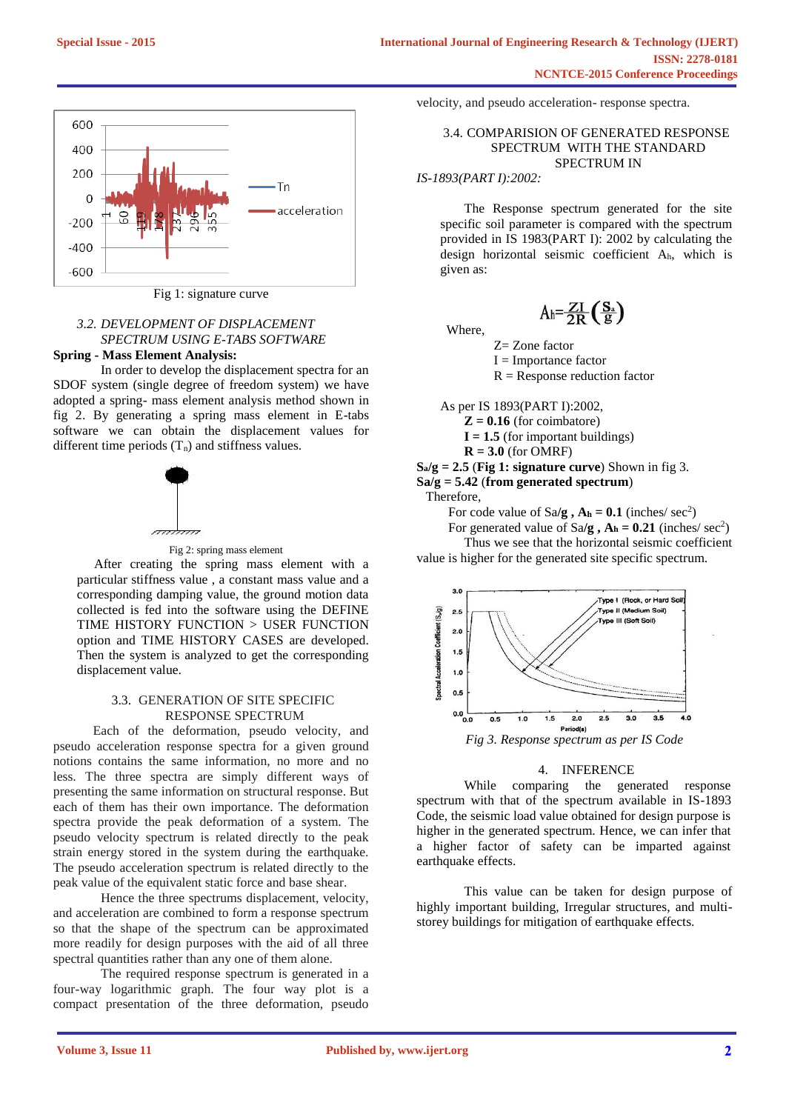

Fig 1: signature curve

# *3.2. DEVELOPMENT OF DISPLACEMENT SPECTRUM USING E-TABS SOFTWARE* **Spring - Mass Element Analysis:**

In order to develop the displacement spectra for an SDOF system (single degree of freedom system) we have adopted a spring- mass element analysis method shown in fig 2. By generating a spring mass element in E-tabs software we can obtain the displacement values for different time periods  $(T_n)$  and stiffness values.





After creating the spring mass element with a particular stiffness value , a constant mass value and a corresponding damping value, the ground motion data collected is fed into the software using the DEFINE TIME HISTORY FUNCTION > USER FUNCTION option and TIME HISTORY CASES are developed. Then the system is analyzed to get the corresponding displacement value.

#### 3.3. GENERATION OF SITE SPECIFIC RESPONSE SPECTRUM

 Each of the deformation, pseudo velocity, and pseudo acceleration response spectra for a given ground notions contains the same information, no more and no less. The three spectra are simply different ways of presenting the same information on structural response. But each of them has their own importance. The deformation spectra provide the peak deformation of a system. The pseudo velocity spectrum is related directly to the peak strain energy stored in the system during the earthquake. The pseudo acceleration spectrum is related directly to the peak value of the equivalent static force and base shear.

Hence the three spectrums displacement, velocity, and acceleration are combined to form a response spectrum so that the shape of the spectrum can be approximated more readily for design purposes with the aid of all three spectral quantities rather than any one of them alone.

The required response spectrum is generated in a four-way logarithmic graph. The four way plot is a compact presentation of the three deformation, pseudo velocity, and pseudo acceleration- response spectra.

#### 3.4. COMPARISION OF GENERATED RESPONSE SPECTRUM WITH THE STANDARD SPECTRUM IN

#### *IS-1893(PART I):2002:*

The Response spectrum generated for the site specific soil parameter is compared with the spectrum provided in IS 1983(PART I): 2002 by calculating the design horizontal seismic coefficient Ah, which is given as:

$$
A_h = \frac{ZI}{2R} \left( \frac{S_a}{g} \right)
$$

Where,

 $Z=$  Zone factor

I = Importance factor

 $R =$  Response reduction factor

As per IS 1893(PART I):2002,

 $Z = 0.16$  (for coimbatore)

 $I = 1.5$  (for important buildings)

 $R = 3.0$  (for OMRF)

 $S_a/g = 2.5$  (Fig 1: **signature curve**) Shown in fig 3.

**Sa/g = 5.42** (**from generated spectrum**)

Therefore,

For code value of  $Sa/g$ ,  $A_h = 0.1$  (inches/  $sec^2$ )

For generated value of  $Sa/g$ ,  $A_h = 0.21$  (inches/  $sec^2$ ) Thus we see that the horizontal seismic coefficient value is higher for the generated site specific spectrum.



#### 4. INFERENCE

While comparing the generated response spectrum with that of the spectrum available in IS-1893 Code, the seismic load value obtained for design purpose is higher in the generated spectrum. Hence, we can infer that a higher factor of safety can be imparted against earthquake effects.

This value can be taken for design purpose of highly important building, Irregular structures, and multistorey buildings for mitigation of earthquake effects.